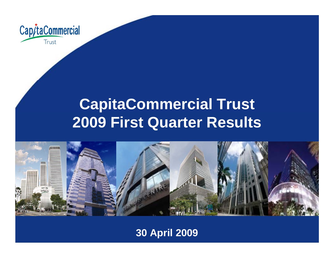

## **CapitaCommercial Trust 2009 First Quarter Results**



### **30 April 2009**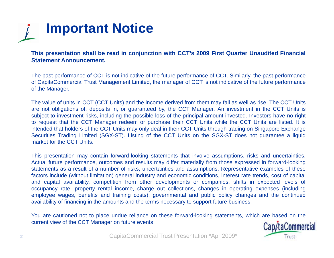

This presentation shall be read in conjunction with CCT's 2009 First Quarter Unaudited Financial **Statement Announcement.**

The past performance of CCT is not indicative of the future performance of CCT. Similarly, the past performance of CapitaCommercial Trust Management Limited, the manager of CCT is not indicative of the future performance of the Manager.

The value of units in CCT (CCT Units) and the income derived from them may fall as well as rise. The CCT Units are not obligations of, deposits in, or guaranteed by, the CCT Manager. An investment in the CCT Units is subject to investment risks, including the possible loss of the principal amount invested. Investors have no right to request that the CCT Manager redeem or purchase their CCT Units while the CCT Units are listed. It is intended that holders of the CCT Units may only deal in their CCT Units through trading on Singapore Exchange Securities Trading Limited (SGX-ST). Listing of the CCT Units on the SGX-ST does not guarantee <sup>a</sup> liquid market for the CCT Units.

This presentation may contain forward-looking statements that involve assumptions, risks and uncertainties. Actual future performance, outcomes and results may differ materially from those expressed in forward-looking statements as <sup>a</sup> result of <sup>a</sup> number of risks, uncertainties and assumptions. Representative examples of these factors include (without limitation) general industry and economic conditions, interest rate trends, cost of capital and capital availability, competition from other developments or companies, shifts in expected levels of occupancy rate, property rental income, charge out collections, changes in operating expenses (including employee wages, benefits and training costs), governmental and public policy changes and the continued availability of financing in the amounts and the terms necessary to support future business.

You are cautioned not to place undue reliance on these forward-looking statements, which are based on the current view of the CCT Manager on future events.

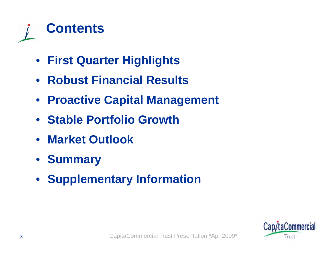

- **First Quarter Highlights**
- **Robust Financial Results**
- **Proactive Capital Management**
- **Stable Portfolio Growth**
- **Market Outlook**
- **Summary**
- **Supplementary Information**

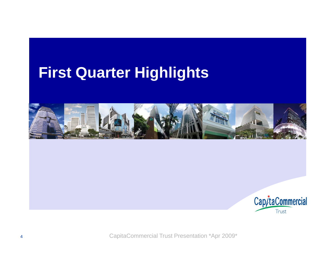## **First Quarter Hi g g hli ghts**



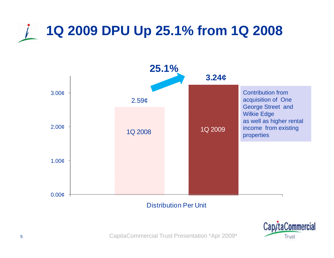# **1Q 2009 DPU Up 25.1% from 1Q 2008**



### Distribution Per Unit

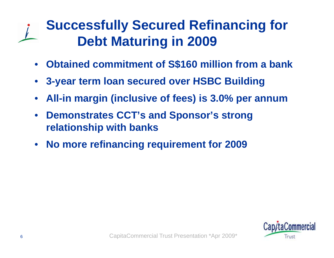## **Successfully Secured Refinancing for Debt Maturin g in 2009**

- •**Obtained commitment of S\$160 million from a bank**
- •**3 -year term loan secured over HSBC Building year term**
- $\bullet$ **All-in margin (inclusive of fees) is 3.0% per annum**
- $\bullet$  **D t t CCT' d S ' t Demons tra tes CCT's an Sponsor's s trong relationship with banks**
- $\bullet$ **No more refinancing requirement for 2009**

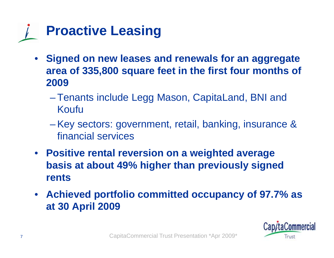

- • **Signed on new leases and renewals for an aggregate area of 335,800 square feet in the first four months of 2009**
	- Tenants include Legg Mason, CapitaLand, BNI and Koufu
	- – Key sectors: government, retail, banking, insurance & financial services
- **Positive rental reversion on a weighted average basis at about 49% higher than previously signed rents**
- $\bullet$  **Achieved portfolio committed occupancy of 97.7% as at 30 p 009 30 April 2009**

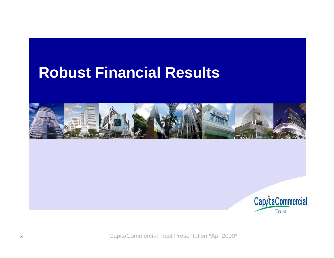### **Robust Financial Results**



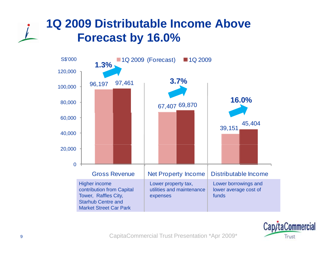### **1Q 2009 Distributable Income Above Forecast by 16.0%**



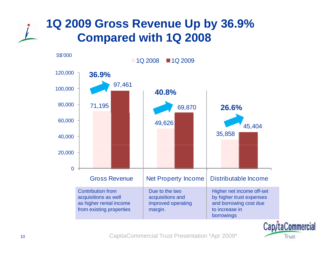### **1Q 2009 Gross Revenue Up by 36.9% Compared with 1Q 2008**



CapitaCommercial Trust Presentation \*Apr 2009\*

Trust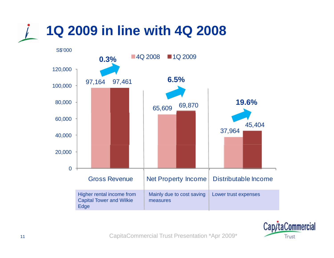

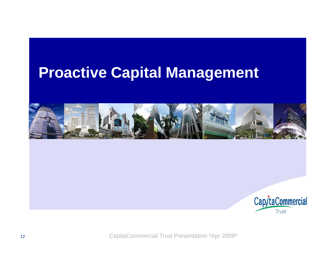## **Proactive Capital Management**



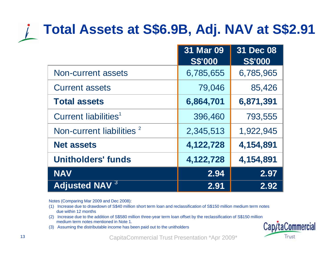# **Total Assets at S\$6.9B, Adj. NAV at S\$2.91**

|                                      | 31 Mar 09<br><b>S\$'000</b> | 31 Dec 08<br><b>S\$'000</b> |
|--------------------------------------|-----------------------------|-----------------------------|
| Non-current assets                   | 6,785,655                   | 6,785,965                   |
| <b>Current assets</b>                | 79,046                      | 85,426                      |
| <b>Total assets</b>                  | 6,864,701                   | 6,871,391                   |
| Current liabilities <sup>1</sup>     | 396,460                     | 793,555                     |
| Non-current liabilities <sup>2</sup> | 2,345,513                   | 1,922,945                   |
| <b>Net assets</b>                    | 4,122,728                   | 4,154,891                   |
| <b>Unitholders' funds</b>            | 4,122,728                   | 4,154,891                   |
| <b>NAV</b>                           | 2.94                        | 2.97                        |
| <b>Adjusted NAV 3</b>                | 2.91                        | 2.92                        |

Notes (Comparing Mar 2009 and Dec 2008):

- (1) Increase due to drawdown of S\$40 million short term loan and reclassification of S\$150 million medium term notes due within 12 months
- (2) Increase due to the addition of S\$580 million three-year term loan offset by the reclassification of S\$150 million medium term notes mentioned in Note 1.
- (3) Assuming the distributable income has been paid out to the unitholders

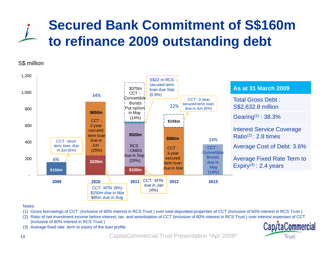## **Secured Bank Commitment of S\$160m to refinance 2009 outstandin g debt**

#### S\$ million



#### Notes:

- (1) Gross borrowings of CCT (inclusive of 60% interest in RCS Trust ) over total deposited properties of CCT (inclusive of 60% interest in RCS Trust )
- (2) Ratio of net investment income before interest, tax and amortisation of CCT (inclusive of 60% interest in RCS Trust ) over interest expenses of CCT (inclusive of 60% interest in RCS Trust )
- (3) Average fixed rate term to expiry of the loan profile

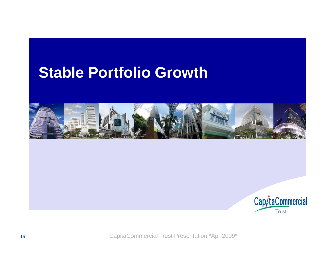### **Stable Portfolio Growth**



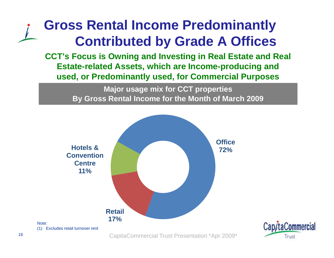## **Gross Rental Income Predominantly Contributed b y Grade A Offices**

**CCT's Focus is Owning and Investing in Real Estate and Real Estate-related Assets, which are Income-producing and used, y, p or Predominantl y used, for Commercial Pur poses**

> **Major usage mix for CCT properties By Gross Rental Income for the Month of March 2009**

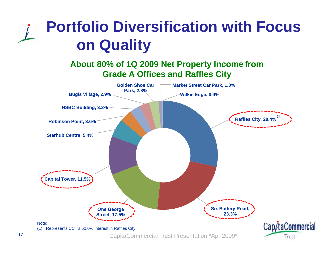# **Portfolio Diversification with Focus on Quality**

### **About 80% of 1Q 2009 Net Property Income from Grade A Offices and Raffles City**

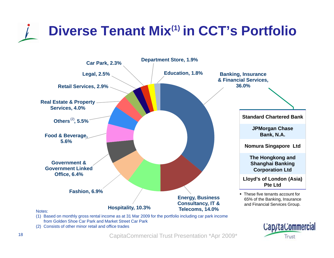# **Diverse Tenant Mix(1) in CCT's Portfolio**



![](_page_17_Picture_2.jpeg)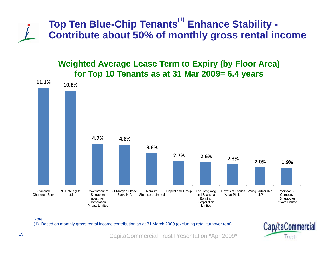![](_page_18_Picture_0.jpeg)

### **Weighted Average Lease Term to Expiry (by Floor Area) for Top 10 Tenants as at 31 Mar 2009= 6.4 years**

![](_page_18_Figure_2.jpeg)

Note:

(1) Based on monthly gross rental income contribution as at 31 March 2009 (excluding retail turnover rent)

![](_page_18_Picture_5.jpeg)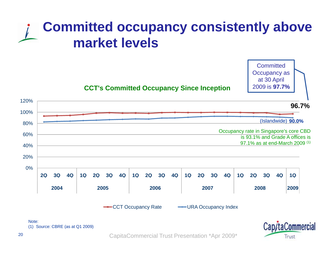## **Committed occupancy consistently above market levels**

![](_page_19_Figure_1.jpeg)

![](_page_19_Figure_2.jpeg)

-CCT Occupancy Rate — URA Occupancy Index

Cap/taCommercial Trust

**Committed** Occupancy as at 30 April

2009 is **97.7%** 

(1) Source: CBRE (as at Q1 2009)

20

Note: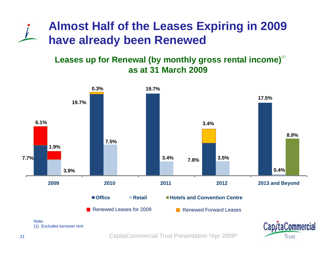### **Almost Half of the Leases Expiring in 2009 have already been Renewed**

### Leases up for Renewal (by monthly gross rental income) $^{\textrm{\tiny{(1)}}}$ **as at 31 March 2009**

![](_page_20_Figure_2.jpeg)

(1) Excludes turnover rent

![](_page_20_Picture_4.jpeg)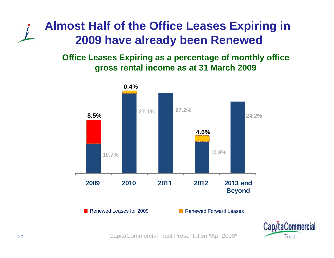### **Almost Half of the Office Leases Expiring in 2009 have already been Renewed**

**Office Leases Expiring as a percentage of monthly office gross rental income as at 31 March 2009**

![](_page_21_Figure_2.jpeg)

![](_page_21_Picture_3.jpeg)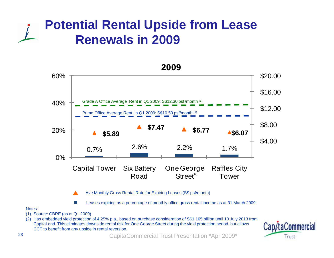### **Potential Rental Upside from Lease Renewals in 2009**

![](_page_22_Figure_1.jpeg)

#### Notes:

- (1) Source: CBRE (as at Q1 2009)
- (2) Has embedded yield protection of 4.25% p.a., based on purchase consideration of S\$1.165 billion until 10 July 2013 from CapitaLand. This eliminates downside rental risk for One George Street during the yield protection period, but allows CCT to benefit from any upside in rental reversion.

![](_page_22_Picture_5.jpeg)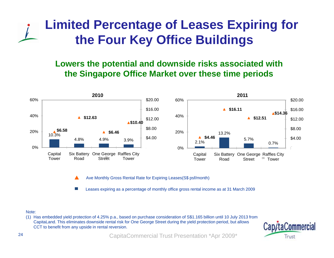### **Limited Percentage of Leases Expiring for the Four Key Office Buildings**

### **Lowers the potential and downside risks associated with the Singapore Office Market over these time periods**

![](_page_23_Figure_2.jpeg)

Ave Monthly Gross Rental Rate for Expiring Leases(S \$ psf/month)

Leases expiring as a percentage of monthly office gross rental income as at 31 March 2009

#### Note:

(1) Has embedded yield protection of 4.25% p.a., based on purchase consideration of S\$1.165 billion until 10 July 2013 from CapitaLand. This eliminates downside rental risk for One George Street during the yield protection period, but allows CCT to benefit from any upside in rental reversion.

![](_page_23_Picture_7.jpeg)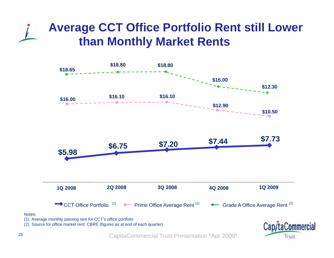### **Average CCT Office Portfolio Rent still Lower than Monthl y Market Rents**

![](_page_24_Figure_1.jpeg)

![](_page_24_Figure_2.jpeg)

(2) Source for office market rent: CBRE (figures as at end of each quarter)

![](_page_24_Picture_4.jpeg)

CapitaCommercial Trust Presentation \*Apr 2009\*

Notes: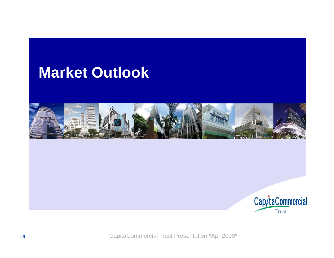### **Market Outlook**

![](_page_25_Picture_1.jpeg)

![](_page_25_Picture_2.jpeg)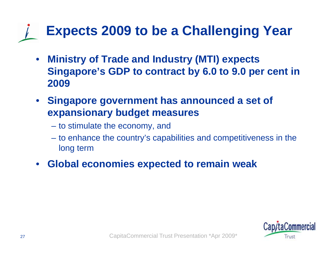# **Expects 2009 to be a Challenging Year**

- • **Ministry of Trade and Industry (MTI) expects Singapore's GDP to contract by 6.0 to 9.0 per cent in 2009**
- **Singapore government has announced a set of expansionary budget measures**
	- to stimulate the economy, and
	- to enhance the country's capabilities and competitiveness in the long term
- •**Global economies expected to remain weak**

![](_page_26_Picture_6.jpeg)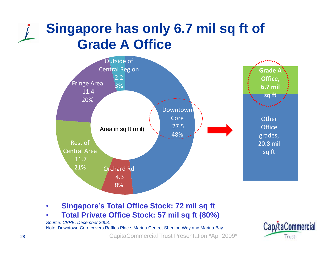## **Singapore has only 6.7 mil sq ft of Grade A Office**

![](_page_27_Figure_1.jpeg)

#### $\bullet$ • Singapore's Total Office Stock: 72 mil sq ft

•**Total Private Office Stock: 57 mil sq ft (80%)**

![](_page_27_Picture_6.jpeg)

*Source: CBRE, December 2008.*  Note: Downtown Core covers Raffles Place, Marina Centre, Shenton Way and Marina Bay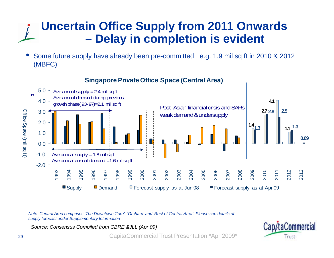### **Uncertain Office Supply from 2011 Onwards – Delay in completion is evident**

• Some future supply have already been pre-committed, e.g. 1.9 mil sq ft in 2010 & 2012 (MBFC)

![](_page_28_Figure_2.jpeg)

**Singapore Private Office Space (Central Area) Singapore**

*Note: Central Area comprises 'The Downtown Core', 'Orchard' and 'Rest of Central Area'. Please see details of supply forecast under Supplementary Information* 

*Source: Consensus Compiled from CBRE &JLL (Apr 09)*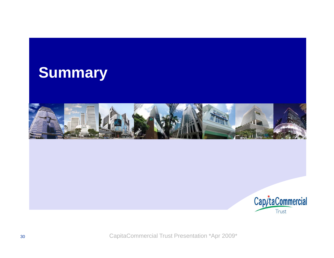![](_page_29_Picture_0.jpeg)

![](_page_29_Picture_1.jpeg)

![](_page_29_Picture_2.jpeg)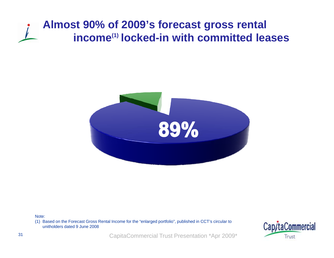### **Almost 90% of 2009's forecast gross rental income(1) locked-in with committed leases**

![](_page_30_Picture_1.jpeg)

Note:

(1) Based on the Forecast Gross Rental Income for the "enlarged portfolio", published in CCT's circular to unitholders dated 9 June 2008

![](_page_30_Picture_4.jpeg)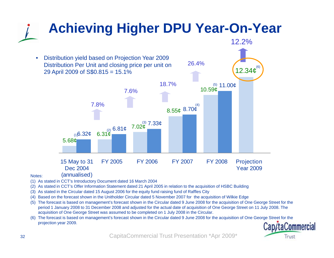![](_page_31_Figure_0.jpeg)

- (3) As stated in the Circular dated 15 August 2006 for the equity fund raising fund of Raffles City
- (4) Based on the forecast shown in the Unitholder Circular dated 5 November 2007 for the acquisition of Wilkie Edge
- (5) The forecast is based on management's forecast shown in the Circular dated 9 June 2008 for the acquisition of One George Street for the period 1 January 2008 to 31 December 2008 and adjusted for the actual date of acquisition of One George Street on 11 July 2008. The acquisition of One George Street was assumed to be completed on 1 July 2008 in the Circular.
- (6) The forecast is based on management's forecast shown in the Circular dated 9 June 2008 for the acquisition of One George Street for the projection year 2009.

![](_page_31_Picture_5.jpeg)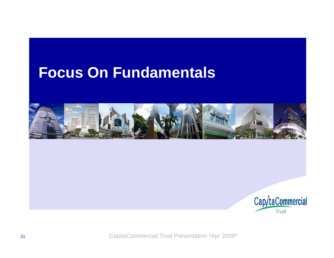### **Focus On Fundamentals**

![](_page_32_Picture_1.jpeg)

![](_page_32_Picture_2.jpeg)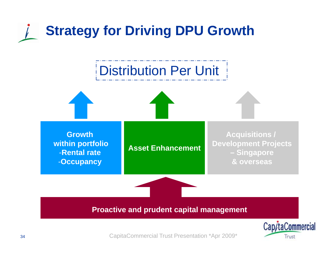# **Strategy for Driving DPU Growth**

![](_page_33_Figure_1.jpeg)

![](_page_33_Picture_2.jpeg)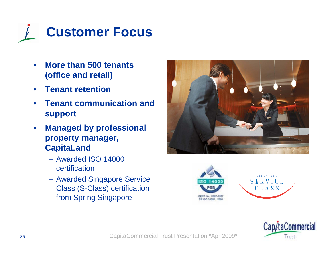![](_page_34_Picture_0.jpeg)

- $\bullet$  **More than 500 tenants (office and retail)**
- •**Tenant retention**
- $\bullet$  **Tenant communication and support**
- $\bullet$  **Managed by professional property manager, C it L d CapitaLand**
	- Awarded ISO 14000 certification
	- Awarded Singapore Service Class (S-Class) certification from Spring Singapore

![](_page_34_Picture_7.jpeg)

![](_page_34_Picture_8.jpeg)

![](_page_34_Picture_9.jpeg)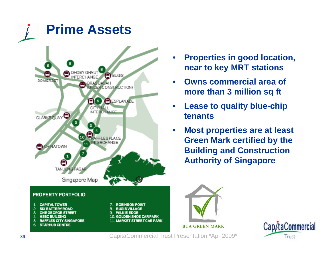![](_page_35_Figure_0.jpeg)

- • **Properties in good location, near to key MRT stations**
- • **O ns commercial area of Owns more than 3 million sq ft**
- $\bullet$  **Lease to quality blue-chip tenants**
- $\bullet$  **Most properties are at least Green Mark certified by the Building and Construction Authority of Singapore**

![](_page_35_Picture_5.jpeg)

![](_page_35_Picture_6.jpeg)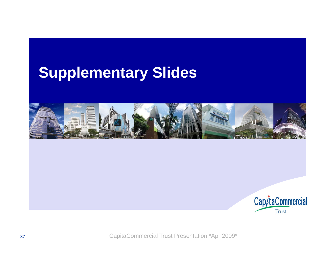## **Supplementary Slides**

![](_page_36_Picture_1.jpeg)

![](_page_36_Picture_2.jpeg)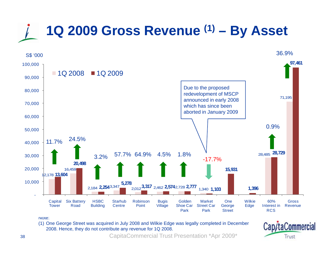# **1Q 2009 Gross Revenue (1) – By Asset**

![](_page_37_Figure_1.jpeg)

(1) One George Street was acquired in July 2008 and Wilkie Edge was legally completed in December 2008. Hence, they do not contribute any revenue for 1Q 2008.

Cap/taCommercial Trust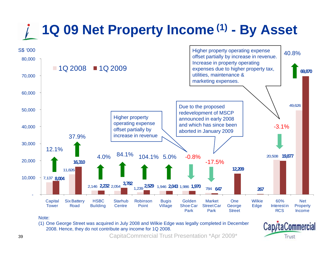# **1Q 09 Net Property Income (1) - By Asset**

![](_page_38_Figure_1.jpeg)

Note:

(1) One George Street was acquired in July 2008 and Wilkie Edge was legally completed in December 2008. Hence, they do not contribute any income for 1Q 2008.

Cap/taCommercial Trust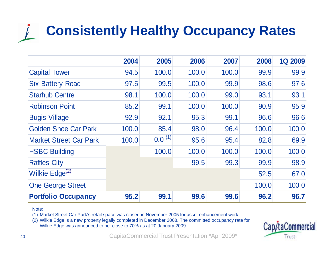# **Consistently Healthy Occupancy Rates**

|                               | 2004  | 2005        | 2006  | 2007  | 2008  | <b>1Q 2009</b> |
|-------------------------------|-------|-------------|-------|-------|-------|----------------|
| <b>Capital Tower</b>          | 94.5  | 100.0       | 100.0 | 100.0 | 99.9  | 99.9           |
| <b>Six Battery Road</b>       | 97.5  | 99.5        | 100.0 | 99.9  | 98.6  | 97.6           |
| <b>Starhub Centre</b>         | 98.1  | 100.0       | 100.0 | 99.0  | 93.1  | 93.1           |
| <b>Robinson Point</b>         | 85.2  | 99.1        | 100.0 | 100.0 | 90.9  | 95.9           |
| <b>Bugis Village</b>          | 92.9  | 92.1        | 95.3  | 99.1  | 96.6  | 96.6           |
| <b>Golden Shoe Car Park</b>   | 100.0 | 85.4        | 98.0  | 96.4  | 100.0 | 100.0          |
| <b>Market Street Car Park</b> | 100.0 | $0.0^{(1)}$ | 95.6  | 95.4  | 82.8  | 69.9           |
| <b>HSBC Building</b>          |       | 100.0       | 100.0 | 100.0 | 100.0 | 100.0          |
| <b>Raffles City</b>           |       |             | 99.5  | 99.3  | 99.9  | 98.9           |
| Wilkie Edge <sup>(2)</sup>    |       |             |       |       | 52.5  | 67.0           |
| <b>One George Street</b>      |       |             |       | 100.0 | 100.0 |                |
| <b>Portfolio Occupancy</b>    | 95.2  | 99.1        | 99.6  | 99.6  | 96.2  | 96.7           |

#### Note:

(1) Market Street Car Park's retail space was closed in November 2005 for asset enhancement work

(2) Wilkie Edge is a new property legally completed in December 2008. The committed occupancy rate for Wilkie Edge was announced to be close to 70% as at 20 January 2009.

![](_page_39_Picture_5.jpeg)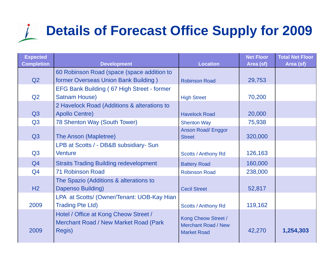# **Details of Forecast Office Supply for 2009**

| <b>Expected</b>   |                                                                                                 |                                                                         | <b>Net Floor</b> | <b>Total Net Floor</b> |
|-------------------|-------------------------------------------------------------------------------------------------|-------------------------------------------------------------------------|------------------|------------------------|
| <b>Completion</b> | <b>Development</b>                                                                              | <b>Location</b>                                                         | Area (sf)        | Area (sf)              |
|                   | 60 Robinson Road (space (space addition to                                                      |                                                                         |                  |                        |
| Q2                | former Overseas Union Bank Building)                                                            | <b>Robinson Road</b>                                                    | 29,753           |                        |
|                   | <b>EFG Bank Building (67 High Street - former</b>                                               |                                                                         |                  |                        |
| Q <sub>2</sub>    | <b>Satnam House)</b>                                                                            | <b>High Street</b>                                                      | 70,200           |                        |
|                   | 2 Havelock Road (Additions & alterations to                                                     |                                                                         |                  |                        |
| Q <sub>3</sub>    | <b>Apollo Centre)</b>                                                                           | <b>Havelock Road</b>                                                    | 20,000           |                        |
| Q <sub>3</sub>    | 78 Shenton Way (South Tower)                                                                    | <b>Shenton Way</b>                                                      | 75,938           |                        |
|                   |                                                                                                 | <b>Anson Road/ Enggor</b>                                               |                  |                        |
| Q <sub>3</sub>    | The Anson (Mapletree)                                                                           | <b>Street</b>                                                           | 320,000          |                        |
|                   | LPB at Scotts / - DB&B subsidiary- Sun                                                          |                                                                         |                  |                        |
| Q <sub>3</sub>    | <b>Venture</b>                                                                                  | Scotts / Anthony Rd                                                     | 126,163          |                        |
| Q4                | <b>Straits Trading Building redevelopment</b>                                                   | <b>Battery Road</b>                                                     | 160,000          |                        |
| Q <sub>4</sub>    | <b>71 Robinson Road</b>                                                                         | <b>Robinson Road</b>                                                    | 238,000          |                        |
|                   | The Spazio (Additions & alterations to                                                          |                                                                         |                  |                        |
| H2                | Dapenso Building)                                                                               | <b>Cecil Street</b>                                                     | 52,817           |                        |
|                   | LPA at Scotts/ (Owner/Tenant: UOB-Kay Hian                                                      |                                                                         |                  |                        |
| 2009              | <b>Trading Pte Ltd)</b>                                                                         | <b>Scotts / Anthony Rd</b>                                              | 119,162          |                        |
| 2009              | Hotel / Office at Kong Cheow Street /<br><b>Merchant Road / New Market Road (Park</b><br>Regis) | Kong Cheow Street /<br><b>Merchant Road / New</b><br><b>Market Road</b> | 42,270           | 1,254,303              |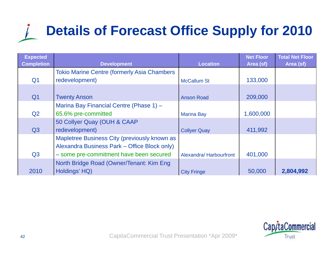# **Details of Forecast Office Supply for 2010**

| <b>Expected</b><br><b>Completion</b> | <b>Development</b>                                  | <b>Location</b>        | <b>Net Floor</b><br>Area (sf) | <b>Total Net Floor</b><br>Area (sf) |
|--------------------------------------|-----------------------------------------------------|------------------------|-------------------------------|-------------------------------------|
|                                      | <b>Tokio Marine Centre (formerly Asia Chambers)</b> |                        |                               |                                     |
| Q <sub>1</sub>                       | redevelopment)                                      | <b>McCallum St</b>     | 133,000                       |                                     |
|                                      |                                                     |                        |                               |                                     |
| Q <sub>1</sub>                       | <b>Twenty Anson</b>                                 | <b>Anson Road</b>      | 209,000                       |                                     |
|                                      | Marina Bay Financial Centre (Phase 1) -             |                        |                               |                                     |
| Q <sub>2</sub>                       | 65.6% pre-committed                                 | <b>Marina Bay</b>      | 1,600,000                     |                                     |
|                                      | 50 Collyer Quay (OUH & CAAP                         |                        |                               |                                     |
| Q3                                   | redevelopment)                                      | <b>Collyer Quay</b>    | 411,992                       |                                     |
|                                      | Mapletree Business City (previously known as        |                        |                               |                                     |
|                                      | Alexandra Business Park - Office Block only)        |                        |                               |                                     |
| Q <sub>3</sub>                       | - some pre-commitment have been secured             | Alexandra/Harbourfront | 401,000                       |                                     |
|                                      | North Bridge Road (Owner/Tenant: Kim Eng            |                        |                               |                                     |
| 2010                                 | Holdings' HQ)                                       | <b>City Fringe</b>     | 50,000                        | 2,804,992                           |

![](_page_41_Picture_2.jpeg)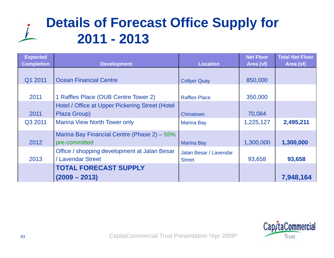## **Details of Forecast Office Supply for 2011 - 2013**

| <b>Expected</b><br><b>Completion</b> | <b>Development</b>                                                | <b>Location</b>                         | <b>Net Floor</b><br>Area (sf) | <b>Total Net Floor</b><br>Area (sf) |
|--------------------------------------|-------------------------------------------------------------------|-----------------------------------------|-------------------------------|-------------------------------------|
| Q1 2011                              | <b>Ocean Financial Centre</b>                                     | <b>Collyer Quay</b>                     | 850,000                       |                                     |
| 2011                                 | 1 Raffles Place (OUB Centre Tower 2)                              | <b>Raffles Place</b>                    | 350,000                       |                                     |
| 2011                                 | Hotel / Office at Upper Pickering Street (Hotel<br>Plaza Group)   | Chinatown                               | 70,084                        |                                     |
| Q3 2011                              | <b>Marina View North Tower only</b>                               | <b>Marina Bay</b>                       | 1,225,127                     | 2,495,211                           |
| 2012                                 | Marina Bay Financial Centre (Phase 2) – 55%<br>pre-committed      | <b>Marina Bay</b>                       | 1,300,000                     | 1,300,000                           |
| 2013                                 | Office / shopping development at Jalan Besar<br>/ Lavendar Street | Jalan Besar / Lavendar<br><b>Street</b> | 93,658                        | 93,658                              |
|                                      | <b>TOTAL FORECAST SUPPLY</b><br>$(2009 - 2013)$                   |                                         |                               | 7,948,164                           |

![](_page_42_Picture_2.jpeg)